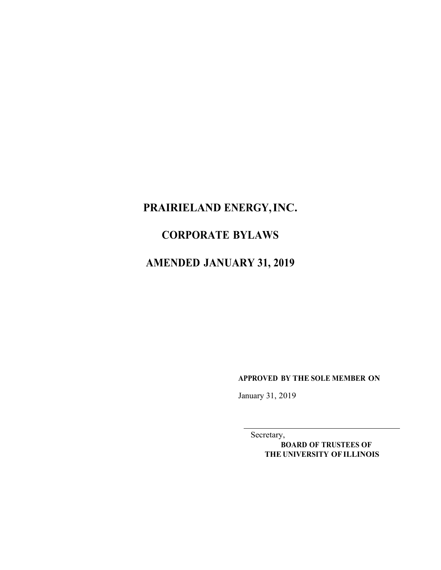# **PRAIRIELAND ENERGY,INC.**

## **CORPORATE BYLAWS**

# **AMENDED JANUARY 31, 2019**

**APPROVED BY THE SOLE MEMBER ON**

January 31, 2019

Secretary,

**BOARD OF TRUSTEES OF THE UNIVERSITY OF ILLINOIS**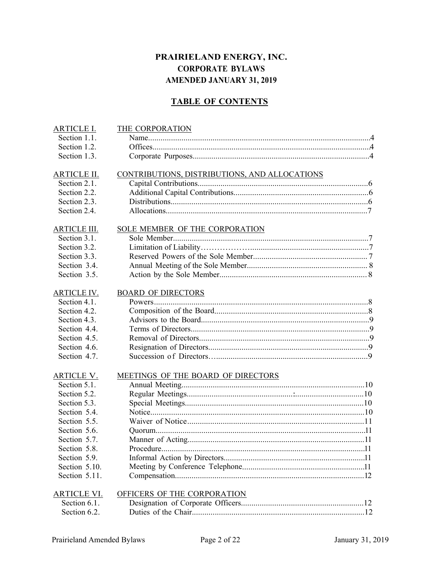## **PRAIRIELAND ENERGY, INC. CORPORATE BYLAWS AMENDED JANUARY 31, 2019**

## **TABLE OF CONTENTS**

| <b>ARTICLE I.</b>   | THE CORPORATION                               |
|---------------------|-----------------------------------------------|
| Section 1.1.        |                                               |
| Section 1.2.        |                                               |
| Section 1.3.        |                                               |
| <b>ARTICLE II.</b>  | CONTRIBUTIONS, DISTRIBUTIONS, AND ALLOCATIONS |
| Section 2.1.        |                                               |
| Section 2.2.        |                                               |
| Section 2.3.        |                                               |
| Section 2.4.        |                                               |
| <b>ARTICLE III.</b> | SOLE MEMBER OF THE CORPORATION                |
| Section 3.1.        |                                               |
| Section 3.2.        |                                               |
| Section 3.3.        |                                               |
| Section 3.4.        |                                               |
| Section 3.5.        |                                               |
| <b>ARTICLE IV.</b>  | <b>BOARD OF DIRECTORS</b>                     |
| Section 4.1.        |                                               |
| Section 4.2.        |                                               |
| Section 4.3.        |                                               |
| Section 4.4.        |                                               |
| Section 4.5.        |                                               |
| Section 4.6.        |                                               |
| Section 4.7.        |                                               |
| <u>ARTICLE V.</u>   | MEETINGS OF THE BOARD OF DIRECTORS            |
| Section 5.1.        |                                               |
| Section 5.2.        |                                               |
| Section 5.3.        |                                               |
| Section 5.4.        |                                               |
| Section 5.5.        |                                               |
| Section 5.6.        |                                               |
| Section 5.7.        |                                               |
| Section 5.8.        |                                               |
| Section 5.9.        |                                               |
| Section 5.10.       |                                               |
| Section 5.11.       |                                               |
| <b>ARTICLE VI.</b>  | OFFICERS OF THE CORPORATION                   |
| Section 6.1.        |                                               |
| Section 6.2.        |                                               |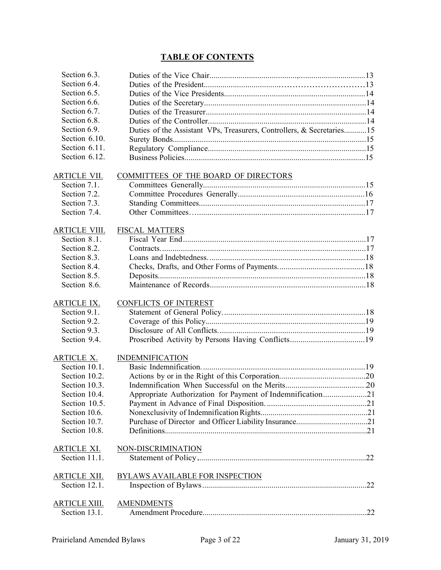## **TABLE OF CONTENTS**

| Section 6.3.         |                                                                       |  |
|----------------------|-----------------------------------------------------------------------|--|
| Section 6.4.         |                                                                       |  |
| Section 6.5.         |                                                                       |  |
| Section 6.6.         |                                                                       |  |
| Section 6.7.         |                                                                       |  |
| Section 6.8.         |                                                                       |  |
| Section 6.9.         | Duties of the Assistant VPs, Treasurers, Controllers, & Secretaries15 |  |
| Section 6.10.        |                                                                       |  |
| Section 6.11.        |                                                                       |  |
| Section 6.12.        |                                                                       |  |
| ARTICLE VII.         | COMMITTEES OF THE BOARD OF DIRECTORS                                  |  |
| Section 7.1.         |                                                                       |  |
| Section 7.2.         |                                                                       |  |
| Section 7.3.         |                                                                       |  |
| Section 7.4.         |                                                                       |  |
|                      |                                                                       |  |
| <b>ARTICLE VIII.</b> | <b>FISCAL MATTERS</b>                                                 |  |
| Section 8.1.         |                                                                       |  |
| Section 8.2.         |                                                                       |  |
| Section 8.3.         |                                                                       |  |
| Section 8.4.         |                                                                       |  |
| Section 8.5.         |                                                                       |  |
| Section 8.6.         |                                                                       |  |
| <b>ARTICLE IX.</b>   | <b>CONFLICTS OF INTEREST</b>                                          |  |
| Section 9.1.         |                                                                       |  |
| Section 9.2.         |                                                                       |  |
| Section 9.3.         |                                                                       |  |
| Section 9.4.         |                                                                       |  |
|                      |                                                                       |  |
| ARTICLE X.           | <b>INDEMNIFICATION</b>                                                |  |
| Section 10.1.        |                                                                       |  |
| Section 10.2.        |                                                                       |  |
| Section 10.3.        |                                                                       |  |
| Section 10.4.        | Appropriate Authorization for Payment of Indemnification21            |  |
| Section 10.5.        |                                                                       |  |
| Section 10.6.        |                                                                       |  |
| Section 10.7.        |                                                                       |  |
| Section 10.8.        |                                                                       |  |
| <u>ARTICLE XI.</u>   | NON-DISCRIMINATION                                                    |  |
| Section 11.1.        |                                                                       |  |
|                      |                                                                       |  |
| ARTICLE XII.         | <b>BYLAWS AVAILABLE FOR INSPECTION</b>                                |  |
| Section 12.1.        |                                                                       |  |
| <b>ARTICLE XIII.</b> | <b>AMENDMENTS</b>                                                     |  |
| Section 13.1.        |                                                                       |  |
|                      |                                                                       |  |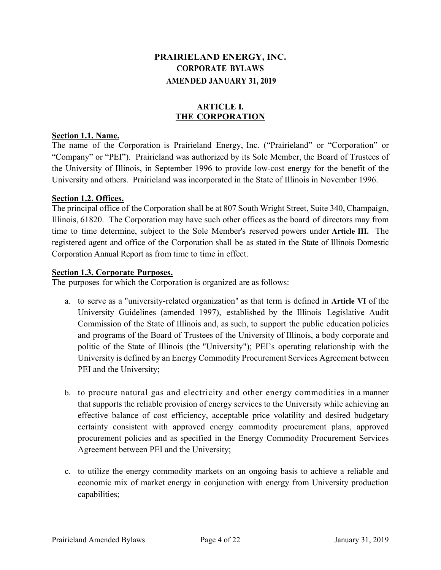## **PRAIRIELAND ENERGY, INC. CORPORATE BYLAWS AMENDED JANUARY 31, 2019**

## **ARTICLE I. THE CORPORATION**

## **Section 1.1. Name.**

The name of the Corporation is Prairieland Energy, Inc. ("Prairieland" or "Corporation" or "Company" or "PEI"). Prairieland was authorized by its Sole Member, the Board of Trustees of the University of Illinois, in September 1996 to provide low-cost energy for the benefit of the University and others. Prairieland was incorporated in the State of Illinois in November 1996.

## **Section 1.2. Offices.**

The principal office of the Corporation shall be at 807 South Wright Street, Suite 340, Champaign, Illinois, 61820. The Corporation may have such other offices as the board of directors may from time to time determine, subject to the Sole Member's reserved powers under **Article III.** The registered agent and office of the Corporation shall be as stated in the State of Illinois Domestic Corporation Annual Report as from time to time in effect.

## **Section 1.3. Corporate Purposes.**

The purposes for which the Corporation is organized are as follows:

- a. to serve as a "university-related organization" as that term is defined in **Article VI** of the University Guidelines (amended 1997), established by the Illinois Legislative Audit Commission of the State of Illinois and, as such, to support the public education policies and programs of the Board of Trustees of the University of Illinois, a body corporate and politic of the State of Illinois (the "University"); PEI's operating relationship with the University is defined by an Energy Commodity Procurement Services Agreement between PEI and the University;
- b. to procure natural gas and electricity and other energy commodities in a manner that supports the reliable provision of energy services to the University while achieving an effective balance of cost efficiency, acceptable price volatility and desired budgetary certainty consistent with approved energy commodity procurement plans, approved procurement policies and as specified in the Energy Commodity Procurement Services Agreement between PEI and the University;
- c. to utilize the energy commodity markets on an ongoing basis to achieve a reliable and economic mix of market energy in conjunction with energy from University production capabilities;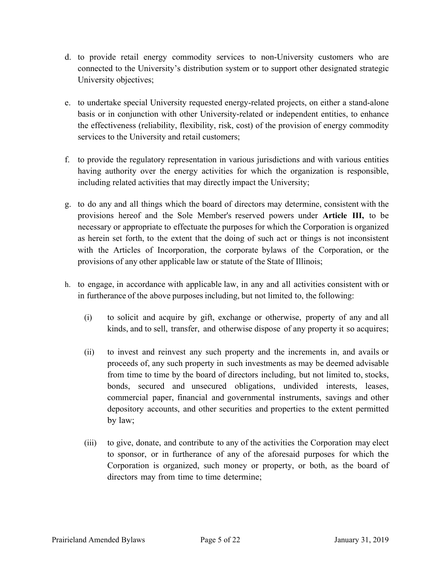- d. to provide retail energy commodity services to non-University customers who are connected to the University's distribution system or to support other designated strategic University objectives;
- e. to undertake special University requested energy-related projects, on either a stand-alone basis or in conjunction with other University-related or independent entities, to enhance the effectiveness (reliability, flexibility, risk, cost) of the provision of energy commodity services to the University and retail customers;
- f. to provide the regulatory representation in various jurisdictions and with various entities having authority over the energy activities for which the organization is responsible, including related activities that may directly impact the University;
- g. to do any and all things which the board of directors may determine, consistent with the provisions hereof and the Sole Member's reserved powers under **Article III,** to be necessary or appropriate to effectuate the purposes for which the Corporation is organized as herein set forth, to the extent that the doing of such act or things is not inconsistent with the Articles of Incorporation, the corporate bylaws of the Corporation, or the provisions of any other applicable law or statute of the State of Illinois;
- h. to engage, in accordance with applicable law, in any and all activities consistent with or in furtherance of the above purposes including, but not limited to, the following:
	- (i) to solicit and acquire by gift, exchange or otherwise, property of any and all kinds, and to sell, transfer, and otherwise dispose of any property it so acquires;
	- (ii) to invest and reinvest any such property and the increments in, and avails or proceeds of, any such property in such investments as may be deemed advisable from time to time by the board of directors including, but not limited to, stocks, bonds, secured and unsecured obligations, undivided interests, leases, commercial paper, financial and governmental instruments, savings and other depository accounts, and other securities and properties to the extent permitted by law;
	- (iii) to give, donate, and contribute to any of the activities the Corporation may elect to sponsor, or in furtherance of any of the aforesaid purposes for which the Corporation is organized, such money or property, or both, as the board of directors may from time to time determine;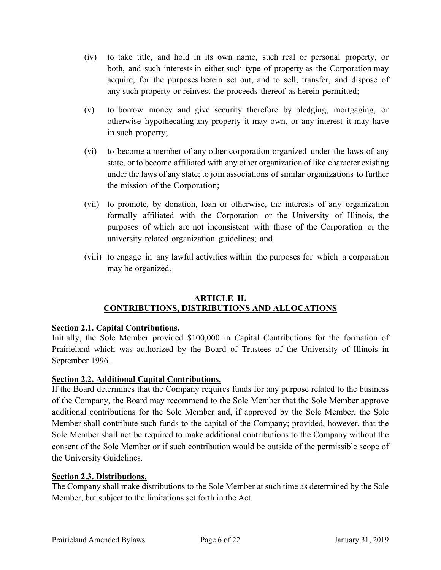- (iv) to take title, and hold in its own name, such real or personal property, or both, and such interests in either such type of property as the Corporation may acquire, for the purposes herein set out, and to sell, transfer, and dispose of any such property or reinvest the proceeds thereof as herein permitted;
- (v) to borrow money and give security therefore by pledging, mortgaging, or otherwise hypothecating any property it may own, or any interest it may have in such property;
- (vi) to become a member of any other corporation organized under the laws of any state, or to become affiliated with any other organization of like character existing under the laws of any state; to join associations of similar organizations to further the mission of the Corporation;
- (vii) to promote, by donation, loan or otherwise, the interests of any organization formally affiliated with the Corporation or the University of Illinois, the purposes of which are not inconsistent with those of the Corporation or the university related organization guidelines; and
- (viii) to engage in any lawful activities within the purposes for which a corporation may be organized.

## **ARTICLE II. CONTRIBUTIONS, DISTRIBUTIONS AND ALLOCATIONS**

## **Section 2.1. Capital Contributions.**

Initially, the Sole Member provided \$100,000 in Capital Contributions for the formation of Prairieland which was authorized by the Board of Trustees of the University of Illinois in September 1996.

## **Section 2.2. Additional Capital Contributions.**

If the Board determines that the Company requires funds for any purpose related to the business of the Company, the Board may recommend to the Sole Member that the Sole Member approve additional contributions for the Sole Member and, if approved by the Sole Member, the Sole Member shall contribute such funds to the capital of the Company; provided, however, that the Sole Member shall not be required to make additional contributions to the Company without the consent of the Sole Member or if such contribution would be outside of the permissible scope of the University Guidelines.

## **Section 2.3. Distributions.**

The Company shall make distributions to the Sole Member at such time as determined by the Sole Member, but subject to the limitations set forth in the Act.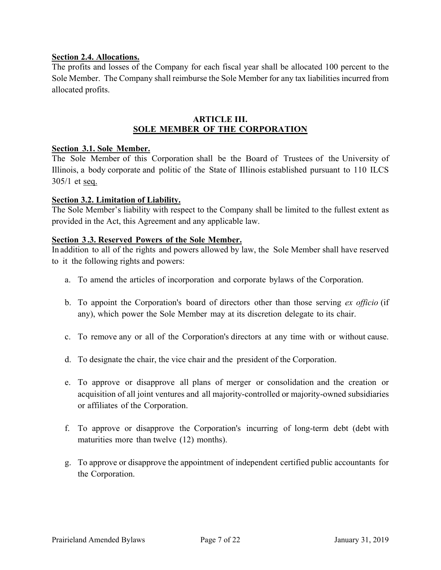## **Section 2.4. Allocations.**

The profits and losses of the Company for each fiscal year shall be allocated 100 percent to the Sole Member. The Company shall reimburse the Sole Member for any tax liabilities incurred from allocated profits.

#### **ARTICLE III. SOLE MEMBER OF THE CORPORATION**

## **Section 3.1. Sole Member.**

The Sole Member of this Corporation shall be the Board of Trustees of the University of Illinois, a body corporate and politic of the State of Illinois established pursuant to 110 ILCS  $305/1$  et seq.

#### **Section 3.2. Limitation of Liability.**

The Sole Member's liability with respect to the Company shall be limited to the fullest extent as provided in the Act, this Agreement and any applicable law.

#### **Section 3.3. Reserved Powers of the Sole Member.**

In addition to all of the rights and powers allowed by law, the Sole Member shall have reserved to it the following rights and powers:

- a. To amend the articles of incorporation and corporate bylaws of the Corporation.
- b. To appoint the Corporation's board of directors other than those serving *ex officio* (if any), which power the Sole Member may at its discretion delegate to its chair.
- c. To remove any or all of the Corporation's directors at any time with or without cause.
- d. To designate the chair, the vice chair and the president of the Corporation.
- e. To approve or disapprove all plans of merger or consolidation and the creation or acquisition of all joint ventures and all majority-controlled or majority-owned subsidiaries or affiliates of the Corporation.
- f. To approve or disapprove the Corporation's incurring of long-term debt (debt with maturities more than twelve (12) months).
- g. To approve or disapprove the appointment of independent certified public accountants for the Corporation.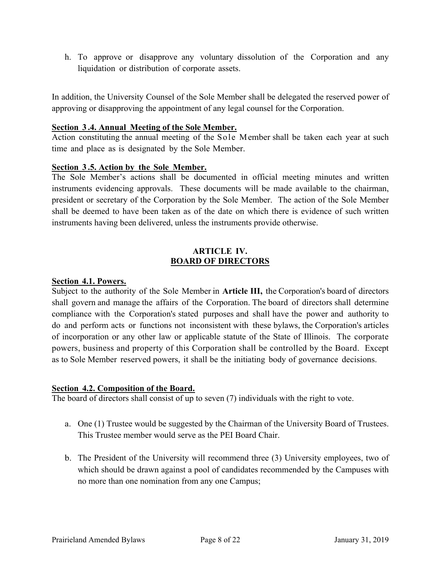h. To approve or disapprove any voluntary dissolution of the Corporation and any liquidation or distribution of corporate assets.

In addition, the University Counsel of the Sole Member shall be delegated the reserved power of approving or disapproving the appointment of any legal counsel for the Corporation.

#### **Section 3 .4. Annual Meeting of the Sole Member.**

Action constituting the annual meeting of the Sole Member shall be taken each year at such time and place as is designated by the Sole Member.

## **Section 3 .5. Action by the Sole Member.**

The Sole Member's actions shall be documented in official meeting minutes and written instruments evidencing approvals. These documents will be made available to the chairman, president or secretary of the Corporation by the Sole Member. The action of the Sole Member shall be deemed to have been taken as of the date on which there is evidence of such written instruments having been delivered, unless the instruments provide otherwise.

## **ARTICLE IV. BOARD OF DIRECTORS**

#### **Section 4.1. Powers.**

Subject to the authority of the Sole Member in **Article III,** the Corporation's board of directors shall govern and manage the affairs of the Corporation. The board of directors shall determine compliance with the Corporation's stated purposes and shall have the power and authority to do and perform acts or functions not inconsistent with these bylaws, the Corporation's articles of incorporation or any other law or applicable statute of the State of Illinois. The corporate powers, business and property of this Corporation shall be controlled by the Board. Except as to Sole Member reserved powers, it shall be the initiating body of governance decisions.

#### **Section 4.2. Composition of the Board.**

The board of directors shall consist of up to seven (7) individuals with the right to vote.

- a. One (1) Trustee would be suggested by the Chairman of the University Board of Trustees. This Trustee member would serve as the PEI Board Chair.
- b. The President of the University will recommend three (3) University employees, two of which should be drawn against a pool of candidates recommended by the Campuses with no more than one nomination from any one Campus;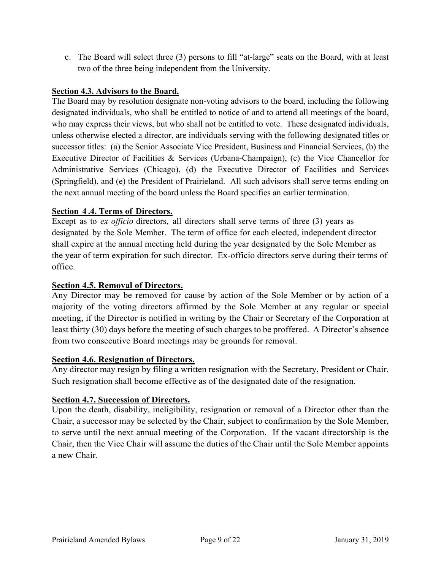c. The Board will select three (3) persons to fill "at-large" seats on the Board, with at least two of the three being independent from the University.

## **Section 4.3. Advisors to the Board.**

The Board may by resolution designate non-voting advisors to the board, including the following designated individuals, who shall be entitled to notice of and to attend all meetings of the board, who may express their views, but who shall not be entitled to vote. These designated individuals, unless otherwise elected a director, are individuals serving with the following designated titles or successor titles: (a) the Senior Associate Vice President, Business and Financial Services, (b) the Executive Director of Facilities & Services (Urbana-Champaign), (c) the Vice Chancellor for Administrative Services (Chicago), (d) the Executive Director of Facilities and Services (Springfield), and (e) the President of Prairieland. All such advisors shall serve terms ending on the next annual meeting of the board unless the Board specifies an earlier termination.

## **Section 4 .4. Terms of Directors.**

Except as to *ex officio* directors, all directors shall serve terms of three (3) years as designated by the Sole Member. The term of office for each elected, independent director shall expire at the annual meeting held during the year designated by the Sole Member as the year of term expiration for such director. Ex-officio directors serve during their terms of office.

## **Section 4.5. Removal of Directors.**

Any Director may be removed for cause by action of the Sole Member or by action of a majority of the voting directors affirmed by the Sole Member at any regular or special meeting, if the Director is notified in writing by the Chair or Secretary of the Corporation at least thirty (30) days before the meeting of such charges to be proffered. A Director's absence from two consecutive Board meetings may be grounds for removal.

## **Section 4.6. Resignation of Directors.**

Any director may resign by filing a written resignation with the Secretary, President or Chair. Such resignation shall become effective as of the designated date of the resignation.

## **Section 4.7. Succession of Directors.**

Upon the death, disability, ineligibility, resignation or removal of a Director other than the Chair, a successor may be selected by the Chair, subject to confirmation by the Sole Member, to serve until the next annual meeting of the Corporation. If the vacant directorship is the Chair, then the Vice Chair will assume the duties of the Chair until the Sole Member appoints a new Chair.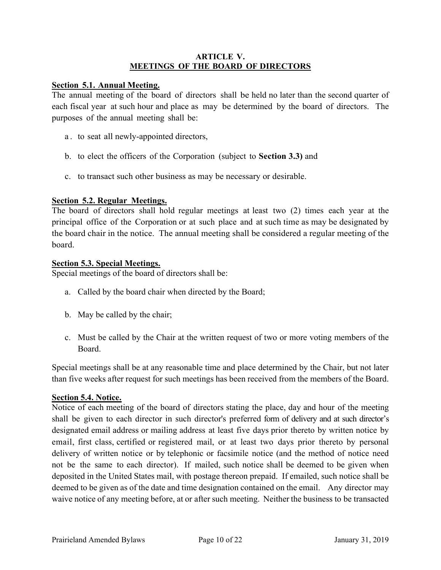#### **ARTICLE V. MEETINGS OF THE BOARD OF DIRECTORS**

#### **Section 5.1. Annual Meeting.**

The annual meeting of the board of directors shall be held no later than the second quarter of each fiscal year at such hour and place as may be determined by the board of directors. The purposes of the annual meeting shall be:

- a . to seat all newly-appointed directors,
- b. to elect the officers of the Corporation (subject to **Section 3.3)** and
- c. to transact such other business as may be necessary or desirable.

## **Section 5.2. Regular Meetings.**

The board of directors shall hold regular meetings at least two (2) times each year at the principal office of the Corporation or at such place and at such time as may be designated by the board chair in the notice. The annual meeting shall be considered a regular meeting of the board.

## **Section 5.3. Special Meetings.**

Special meetings of the board of directors shall be:

- a. Called by the board chair when directed by the Board;
- b. May be called by the chair;
- c. Must be called by the Chair at the written request of two or more voting members of the Board.

Special meetings shall be at any reasonable time and place determined by the Chair, but not later than five weeks after request for such meetings has been received from the members of the Board.

## **Section 5.4. Notice.**

Notice of each meeting of the board of directors stating the place, day and hour of the meeting shall be given to each director in such director's preferred form of delivery and at such director's designated email address or mailing address at least five days prior thereto by written notice by email, first class, certified or registered mail, or at least two days prior thereto by personal delivery of written notice or by telephonic or facsimile notice (and the method of notice need not be the same to each director). If mailed, such notice shall be deemed to be given when deposited in the United States mail, with postage thereon prepaid. If emailed, such notice shall be deemed to be given as of the date and time designation contained on the email. Any director may waive notice of any meeting before, at or after such meeting. Neither the business to be transacted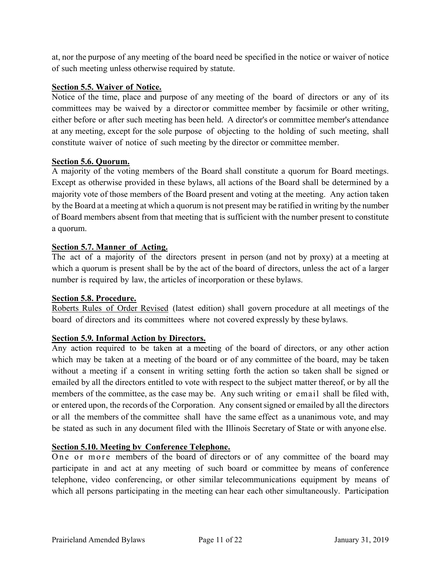at, nor the purpose of any meeting of the board need be specified in the notice or waiver of notice of such meeting unless otherwise required by statute.

## **Section 5.5. Waiver of Notice.**

Notice of the time, place and purpose of any meeting of the board of directors or any of its committees may be waived by a director or committee member by facsimile or other writing, either before or after such meeting has been held. A director's or committee member's attendance at any meeting, except for the sole purpose of objecting to the holding of such meeting, shall constitute waiver of notice of such meeting by the director or committee member.

## **Section 5.6. Quorum.**

A majority of the voting members of the Board shall constitute a quorum for Board meetings. Except as otherwise provided in these bylaws, all actions of the Board shall be determined by a majority vote of those members of the Board present and voting at the meeting. Any action taken by the Board at a meeting at which a quorum is not present may be ratified in writing by the number of Board members absent from that meeting that is sufficient with the number present to constitute a quorum.

## **Section 5.7. Manner of Acting.**

The act of a majority of the directors present in person (and not by proxy) at a meeting at which a quorum is present shall be by the act of the board of directors, unless the act of a larger number is required by law, the articles of incorporation or these bylaws.

## **Section 5.8. Procedure.**

Roberts Rules of Order Revised (latest edition) shall govern procedure at all meetings of the board of directors and its committees where not covered expressly by these bylaws.

## **Section 5.9. Informal Action by Directors.**

Any action required to be taken at a meeting of the board of directors, or any other action which may be taken at a meeting of the board or of any committee of the board, may be taken without a meeting if a consent in writing setting forth the action so taken shall be signed or emailed by all the directors entitled to vote with respect to the subject matter thereof, or by all the members of the committee, as the case may be. Any such writing or email shall be filed with, or entered upon, the records of the Corporation. Any consent signed or emailed by all the directors or all the members of the committee shall have the same effect as a unanimous vote, and may be stated as such in any document filed with the Illinois Secretary of State or with anyone else.

## **Section 5.10. Meeting bv Conference Telephone.**

One or more members of the board of directors or of any committee of the board may participate in and act at any meeting of such board or committee by means of conference telephone, video conferencing, or other similar telecommunications equipment by means of which all persons participating in the meeting can hear each other simultaneously. Participation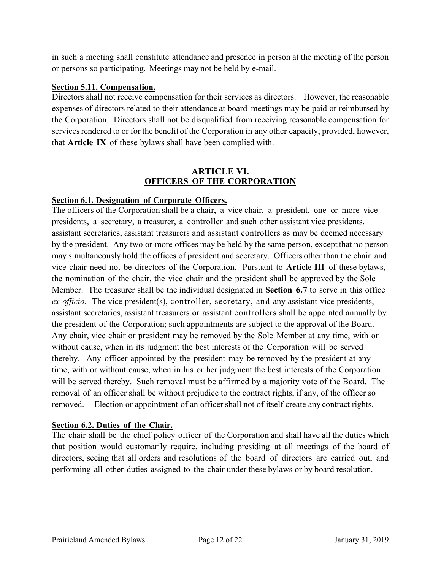in such a meeting shall constitute attendance and presence in person at the meeting of the person or persons so participating. Meetings may not be held by e-mail.

## **Section 5.11. Compensation.**

Directors shall not receive compensation for their services as directors. However, the reasonable expenses of directors related to their attendance at board meetings may be paid or reimbursed by the Corporation. Directors shall not be disqualified from receiving reasonable compensation for services rendered to or for the benefit of the Corporation in any other capacity; provided, however, that **Article IX** of these bylaws shall have been complied with.

## **ARTICLE VI. OFFICERS OF THE CORPORATION**

## **Section 6.1. Designation of Corporate Officers.**

The officers of the Corporation shall be a chair, a vice chair, a president, one or more vice presidents, a secretary, a treasurer, a controller and such other assistant vice presidents, assistant secretaries, assistant treasurers and assistant controllers as may be deemed necessary by the president. Any two or more offices may be held by the same person, except that no person may simultaneously hold the offices of president and secretary. Officers other than the chair and vice chair need not be directors of the Corporation. Pursuant to **Article III** of these bylaws, the nomination of the chair, the vice chair and the president shall be approved by the Sole Member. The treasurer shall be the individual designated in **Section 6.7** to serve in this office *ex officio.* The vice president(s), controller, secretary, and any assistant vice presidents, assistant secretaries, assistant treasurers or assistant controllers shall be appointed annually by the president of the Corporation; such appointments are subject to the approval of the Board. Any chair, vice chair or president may be removed by the Sole Member at any time, with or without cause, when in its judgment the best interests of the Corporation will be served thereby. Any officer appointed by the president may be removed by the president at any time, with or without cause, when in his or her judgment the best interests of the Corporation will be served thereby. Such removal must be affirmed by a majority vote of the Board. The removal of an officer shall be without prejudice to the contract rights, if any, of the officer so removed. Election or appointment of an officer shall not of itself create any contract rights.

## **Section 6.2. Duties of the Chair.**

The chair shall be the chief policy officer of the Corporation and shall have all the duties which that position would customarily require, including presiding at all meetings of the board of directors, seeing that all orders and resolutions of the board of directors are carried out, and performing all other duties assigned to the chair under these bylaws or by board resolution.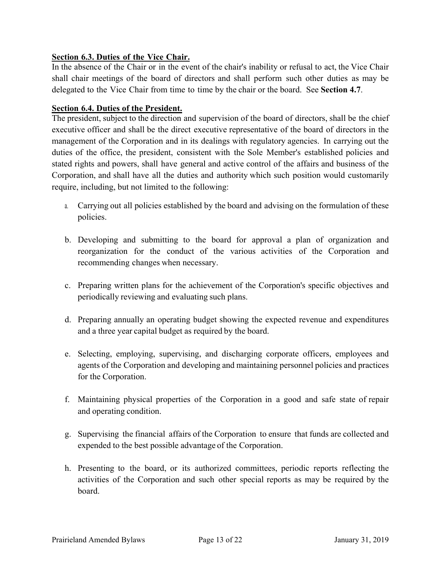## **Section 6.3. Duties of the Vice Chair.**

In the absence of the Chair or in the event of the chair's inability or refusal to act, the Vice Chair shall chair meetings of the board of directors and shall perform such other duties as may be delegated to the Vice Chair from time to time by the chair or the board. See **Section 4.7**.

## **Section 6.4. Duties of the President.**

The president, subject to the direction and supervision of the board of directors, shall be the chief executive officer and shall be the direct executive representative of the board of directors in the management of the Corporation and in its dealings with regulatory agencies. In carrying out the duties of the office, the president, consistent with the Sole Member's established policies and stated rights and powers, shall have general and active control of the affairs and business of the Corporation, and shall have all the duties and authority which such position would customarily require, including, but not limited to the following:

- a. Carrying out all policies established by the board and advising on the formulation of these policies.
- b. Developing and submitting to the board for approval a plan of organization and reorganization for the conduct of the various activities of the Corporation and recommending changes when necessary.
- c. Preparing written plans for the achievement of the Corporation's specific objectives and periodically reviewing and evaluating such plans.
- d. Preparing annually an operating budget showing the expected revenue and expenditures and a three year capital budget as required by the board.
- e. Selecting, employing, supervising, and discharging corporate officers, employees and agents of the Corporation and developing and maintaining personnel policies and practices for the Corporation.
- f. Maintaining physical properties of the Corporation in a good and safe state of repair and operating condition.
- g. Supervising the financial affairs of the Corporation to ensure that funds are collected and expended to the best possible advantage of the Corporation.
- h. Presenting to the board, or its authorized committees, periodic reports reflecting the activities of the Corporation and such other special reports as may be required by the board.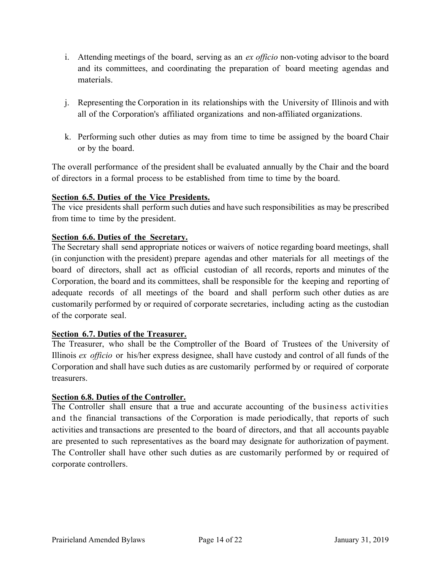- i. Attending meetings of the board, serving as an *ex officio* non-voting advisor to the board and its committees, and coordinating the preparation of board meeting agendas and materials.
- j. Representing the Corporation in its relationships with the University of Illinois and with all of the Corporation's affiliated organizations and non-affiliated organizations.
- k. Performing such other duties as may from time to time be assigned by the board Chair or by the board.

The overall performance of the president shall be evaluated annually by the Chair and the board of directors in a formal process to be established from time to time by the board.

## **Section 6.5. Duties of the Vice Presidents.**

The vice presidents shall perform such duties and have such responsibilities as may be prescribed from time to time by the president.

## **Section 6.6. Duties of the Secretary.**

The Secretary shall send appropriate notices or waivers of notice regarding board meetings, shall (in conjunction with the president) prepare agendas and other materials for all meetings of the board of directors, shall act as official custodian of all records, reports and minutes of the Corporation, the board and its committees, shall be responsible for the keeping and reporting of adequate records of all meetings of the board and shall perform such other duties as are customarily performed by or required of corporate secretaries, including acting as the custodian of the corporate seal.

## **Section 6.7. Duties of the Treasurer.**

The Treasurer, who shall be the Comptroller of the Board of Trustees of the University of Illinois *ex officio* or his/her express designee, shall have custody and control of all funds of the Corporation and shall have such duties as are customarily performed by or required of corporate treasurers.

## **Section 6.8. Duties of the Controller.**

The Controller shall ensure that a true and accurate accounting of the business activities and the financial transactions of the Corporation is made periodically, that reports of such activities and transactions are presented to the board of directors, and that all accounts payable are presented to such representatives as the board may designate for authorization of payment. The Controller shall have other such duties as are customarily performed by or required of corporate controllers.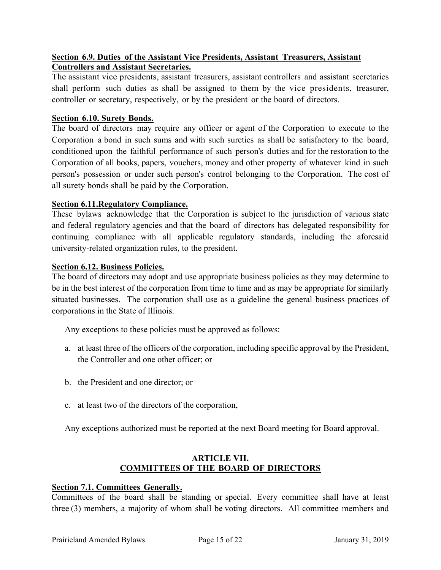## **Section 6.9. Duties of the Assistant Vice Presidents, Assistant Treasurers, Assistant Controllers and Assistant Secretaries.**

The assistant vice presidents, assistant treasurers, assistant controllers and assistant secretaries shall perform such duties as shall be assigned to them by the vice presidents, treasurer, controller or secretary, respectively, or by the president or the board of directors.

## **Section 6.10. Surety Bonds.**

The board of directors may require any officer or agent of the Corporation to execute to the Corporation a bond in such sums and with such sureties as shall be satisfactory to the board, conditioned upon the faithful performance of such person's duties and for the restoration to the Corporation of all books, papers, vouchers, money and other property of whatever kind in such person's possession or under such person's control belonging to the Corporation. The cost of all surety bonds shall be paid by the Corporation.

## **Section 6.11.Regulatory Compliance.**

These bylaws acknowledge that the Corporation is subject to the jurisdiction of various state and federal regulatory agencies and that the board of directors has delegated responsibility for continuing compliance with all applicable regulatory standards, including the aforesaid university-related organization rules, to the president.

## **Section 6.12. Business Policies.**

The board of directors may adopt and use appropriate business policies as they may determine to be in the best interest of the corporation from time to time and as may be appropriate for similarly situated businesses. The corporation shall use as a guideline the general business practices of corporations in the State of Illinois.

Any exceptions to these policies must be approved as follows:

- a. at least three of the officers of the corporation, including specific approval by the President, the Controller and one other officer; or
- b. the President and one director; or
- c. at least two of the directors of the corporation,

Any exceptions authorized must be reported at the next Board meeting for Board approval.

## **ARTICLE VII. COMMITTEES OF THE BOARD OF DIRECTORS**

## **Section 7.1. Committees Generally.**

Committees of the board shall be standing or special. Every committee shall have at least three (3) members, a majority of whom shall be voting directors. All committee members and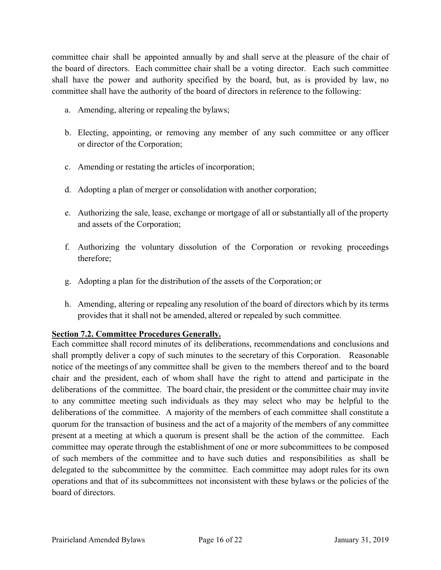committee chair shall be appointed annually by and shall serve at the pleasure of the chair of the board of directors. Each committee chair shall be a voting director. Each such committee shall have the power and authority specified by the board, but, as is provided by law, no committee shall have the authority of the board of directors in reference to the following:

- a. Amending, altering or repealing the bylaws;
- b. Electing, appointing, or removing any member of any such committee or any officer or director of the Corporation;
- c. Amending or restating the articles of incorporation;
- d. Adopting a plan of merger or consolidation with another corporation;
- e. Authorizing the sale, lease, exchange or mortgage of all or substantially all of the property and assets of the Corporation;
- f. Authorizing the voluntary dissolution of the Corporation or revoking proceedings therefore;
- g. Adopting a plan for the distribution of the assets of the Corporation; or
- h. Amending, altering or repealing any resolution of the board of directors which by its terms provides that it shall not be amended, altered or repealed by such committee.

## **Section 7.2. Committee Procedures Generally.**

Each committee shall record minutes of its deliberations, recommendations and conclusions and shall promptly deliver a copy of such minutes to the secretary of this Corporation. Reasonable notice of the meetings of any committee shall be given to the members thereof and to the board chair and the president, each of whom shall have the right to attend and participate in the deliberations of the committee. The board chair, the president or the committee chair may invite to any committee meeting such individuals as they may select who may be helpful to the deliberations of the committee. A majority of the members of each committee shall constitute a quorum for the transaction of business and the act of a majority of the members of any committee present at a meeting at which a quorum is present shall be the action of the committee. Each committee may operate through the establishment of one or more subcommittees to be composed of such members of the committee and to have such duties and responsibilities as shall be delegated to the subcommittee by the committee. Each committee may adopt rules for its own operations and that of its subcommittees not inconsistent with these bylaws or the policies of the board of directors.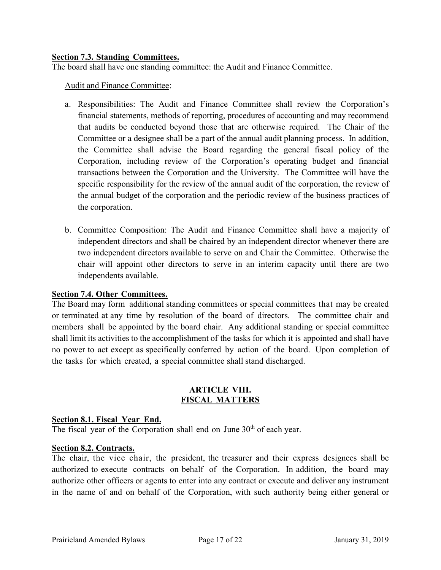## **Section 7.3. Standing Committees.**

The board shall have one standing committee: the Audit and Finance Committee.

Audit and Finance Committee:

- a. Responsibilities: The Audit and Finance Committee shall review the Corporation's financial statements, methods of reporting, procedures of accounting and may recommend that audits be conducted beyond those that are otherwise required. The Chair of the Committee or a designee shall be a part of the annual audit planning process. In addition, the Committee shall advise the Board regarding the general fiscal policy of the Corporation, including review of the Corporation's operating budget and financial transactions between the Corporation and the University. The Committee will have the specific responsibility for the review of the annual audit of the corporation, the review of the annual budget of the corporation and the periodic review of the business practices of the corporation.
- b. Committee Composition: The Audit and Finance Committee shall have a majority of independent directors and shall be chaired by an independent director whenever there are two independent directors available to serve on and Chair the Committee. Otherwise the chair will appoint other directors to serve in an interim capacity until there are two independents available.

## **Section 7.4. Other Committees.**

The Board may form additional standing committees or special committees that may be created or terminated at any time by resolution of the board of directors. The committee chair and members shall be appointed by the board chair. Any additional standing or special committee shall limit its activities to the accomplishment of the tasks for which it is appointed and shall have no power to act except as specifically conferred by action of the board. Upon completion of the tasks for which created, a special committee shall stand discharged.

## **ARTICLE VIII. FISCAL MATTERS**

## **Section 8.1. Fiscal Year End.**

The fiscal year of the Corporation shall end on June 30<sup>th</sup> of each year.

#### **Section 8.2. Contracts.**

The chair, the vice chair, the president, the treasurer and their express designees shall be authorized to execute contracts on behalf of the Corporation. In addition, the board may authorize other officers or agents to enter into any contract or execute and deliver any instrument in the name of and on behalf of the Corporation, with such authority being either general or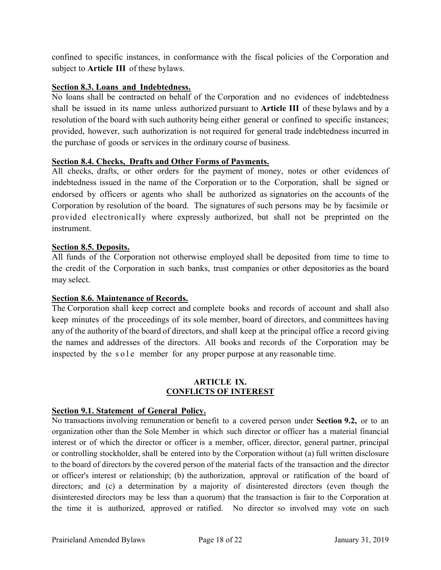confined to specific instances, in conformance with the fiscal policies of the Corporation and subject to **Article III** of these bylaws.

## **Section 8.3. Loans and Indebtedness.**

No loans shall be contracted on behalf of the Corporation and no evidences of indebtedness shall be issued in its name unless authorized pursuant to **Article III** of these bylaws and by a resolution of the board with such authority being either general or confined to specific instances; provided, however, such authorization is not required for general trade indebtedness incurred in the purchase of goods or services in the ordinary course of business.

## **Section 8.4. Checks, Drafts and Other Forms of Payments.**

All checks, drafts, or other orders for the payment of money, notes or other evidences of indebtedness issued in the name of the Corporation or to the Corporation, shall be signed or endorsed by officers or agents who shall be authorized as signatories on the accounts of the Corporation by resolution of the board. The signatures of such persons may be by facsimile or provided electronically where expressly authorized, but shall not be preprinted on the instrument.

## **Section 8.5. Deposits.**

All funds of the Corporation not otherwise employed shall be deposited from time to time to the credit of the Corporation in such banks, trust companies or other depositories as the board may select.

## **Section 8.6. Maintenance of Records.**

The Corporation shall keep correct and complete books and records of account and shall also keep minutes of the proceedings of its sole member, board of directors, and committees having any of the authority of the board of directors, and shall keep at the principal office a record giving the names and addresses of the directors. All books and records of the Corporation may be inspected by the sole member for any proper purpose at any reasonable time.

#### **ARTICLE IX. CONFLICTS OF INTEREST**

## **Section 9.1. Statement of General Policy.**

No transactions involving remuneration or benefit to a covered person under **Section 9.2,** or to an organization other than the Sole Member in which such director or officer has a material financial interest or of which the director or officer is a member, officer, director, general partner, principal or controlling stockholder, shall be entered into by the Corporation without (a) full written disclosure to the board of directors by the covered person of the material facts of the transaction and the director or officer's interest or relationship; (b) the authorization, approval or ratification of the board of directors; and (c) a determination by a majority of disinterested directors (even though the disinterested directors may be less than a quorum) that the transaction is fair to the Corporation at the time it is authorized, approved or ratified. No director so involved may vote on such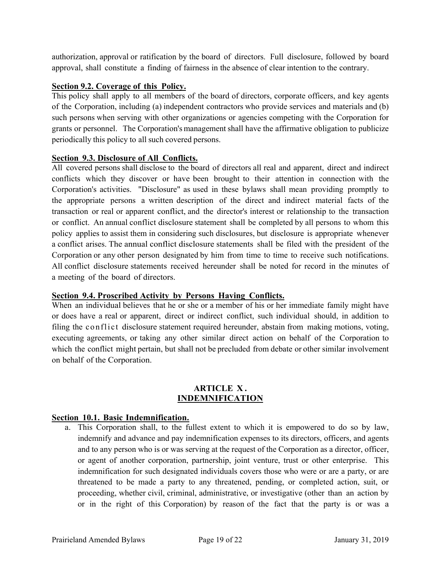authorization, approval or ratification by the board of directors. Full disclosure, followed by board approval, shall constitute a finding of fairness in the absence of clear intention to the contrary.

## **Section 9.2. Coverage of this Policy.**

This policy shall apply to all members of the board of directors, corporate officers, and key agents of the Corporation, including (a) independent contractors who provide services and materials and (b) such persons when serving with other organizations or agencies competing with the Corporation for grants or personnel. The Corporation's management shall have the affirmative obligation to publicize periodically this policy to all such covered persons.

## **Section 9.3. Disclosure of All Conflicts.**

All covered persons shall disclose to the board of directors all real and apparent, direct and indirect conflicts which they discover or have been brought to their attention in connection with the Corporation's activities. "Disclosure" as used in these bylaws shall mean providing promptly to the appropriate persons a written description of the direct and indirect material facts of the transaction or real or apparent conflict, and the director's interest or relationship to the transaction or conflict. An annual conflict disclosure statement shall be completed by all persons to whom this policy applies to assist them in considering such disclosures, but disclosure is appropriate whenever a conflict arises. The annual conflict disclosure statements shall be filed with the president of the Corporation or any other person designated by him from time to time to receive such notifications. All conflict disclosure statements received hereunder shall be noted for record in the minutes of a meeting of the board of directors.

## **Section 9.4. Proscribed Activity by Persons Having Conflicts.**

When an individual believes that he or she or a member of his or her immediate family might have or does have a real or apparent, direct or indirect conflict, such individual should, in addition to filing the conflict disclosure statement required hereunder, abstain from making motions, voting, executing agreements, or taking any other similar direct action on behalf of the Corporation to which the conflict might pertain, but shall not be precluded from debate or other similar involvement on behalf of the Corporation.

#### **ARTICLE X . INDEMNIFICATION**

## **Section 10.1. Basic Indemnification.**

a. This Corporation shall, to the fullest extent to which it is empowered to do so by law, indemnify and advance and pay indemnification expenses to its directors, officers, and agents and to any person who is or was serving at the request of the Corporation as a director, officer, or agent of another corporation, partnership, joint venture, trust or other enterprise. This indemnification for such designated individuals covers those who were or are a party, or are threatened to be made a party to any threatened, pending, or completed action, suit, or proceeding, whether civil, criminal, administrative, or investigative (other than an action by or in the right of this Corporation) by reason of the fact that the party is or was a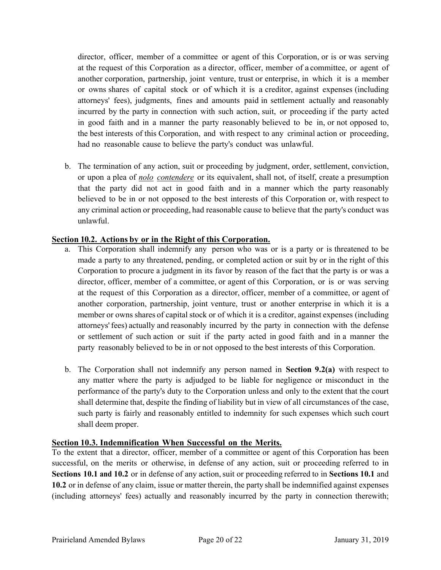director, officer, member of a committee or agent of this Corporation, or is or was serving at the request of this Corporation as a director, officer, member of a committee, or agent of another corporation, partnership, joint venture, trust or enterprise, in which it is a member or owns shares of capital stock or of which it is a creditor, against expenses (including attorneys' fees), judgments, fines and amounts paid in settlement actually and reasonably incurred by the party in connection with such action, suit, or proceeding if the party acted in good faith and in a manner the party reasonably believed to be in, or not opposed to, the best interests of this Corporation, and with respect to any criminal action or proceeding, had no reasonable cause to believe the party's conduct was unlawful.

b. The termination of any action, suit or proceeding by judgment, order, settlement, conviction, or upon a plea of *nolo contendere* or its equivalent, shall not, of itself, create a presumption that the party did not act in good faith and in a manner which the party reasonably believed to be in or not opposed to the best interests of this Corporation or, with respect to any criminal action or proceeding, had reasonable cause to believe that the party's conduct was unlawful.

## **Section 10.2. Actions by or in the Right of this Corporation.**

- a. This Corporation shall indemnify any person who was or is a party or is threatened to be made a party to any threatened, pending, or completed action or suit by or in the right of this Corporation to procure a judgment in its favor by reason of the fact that the party is or was a director, officer, member of a committee, or agent of this Corporation, or is or was serving at the request of this Corporation as a director, officer, member of a committee, or agent of another corporation, partnership, joint venture, trust or another enterprise in which it is a member or owns shares of capital stock or of which it is a creditor, against expenses (including attorneys' fees) actually and reasonably incurred by the party in connection with the defense or settlement of such action or suit if the party acted in good faith and in a manner the party reasonably believed to be in or not opposed to the best interests of this Corporation.
- b. The Corporation shall not indemnify any person named in **Section 9.2(a)** with respect to any matter where the party is adjudged to be liable for negligence or misconduct in the performance of the party's duty to the Corporation unless and only to the extent that the court shall determine that, despite the finding of liability but in view of all circumstances of the case, such party is fairly and reasonably entitled to indemnity for such expenses which such court shall deem proper.

## **Section 10.3. Indemnification When Successful on the Merits.**

To the extent that a director, officer, member of a committee or agent of this Corporation has been successful, on the merits or otherwise, in defense of any action, suit or proceeding referred to in **Sections 10.1 and 10.2** or in defense of any action, suit or proceeding referred to in **Sections 10.1** and **10.2** or in defense of any claim, issue or matter therein, the party shall be indemnified against expenses (including attorneys' fees) actually and reasonably incurred by the party in connection therewith;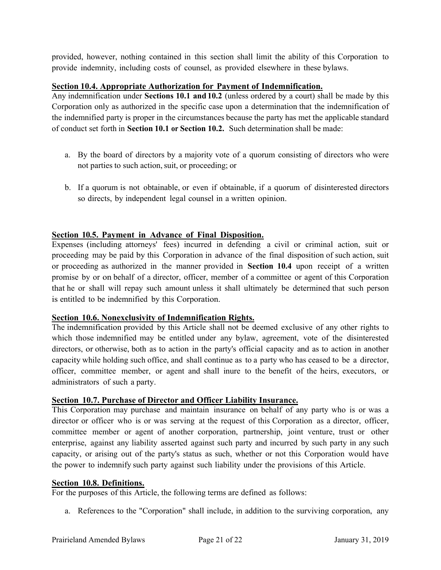provided, however, nothing contained in this section shall limit the ability of this Corporation to provide indemnity, including costs of counsel, as provided elsewhere in these bylaws.

#### **Section 10.4. Appropriate Authorization for Payment of Indemnification.**

Any indemnification under **Sections 10.1 and 10.2** (unless ordered by a court) shall be made by this Corporation only as authorized in the specific case upon a determination that the indemnification of the indemnified party is proper in the circumstances because the party has met the applicable standard of conduct set forth in **Section 10.1 or Section 10.2.** Such determination shall be made:

- a. By the board of directors by a majority vote of a quorum consisting of directors who were not parties to such action, suit, or proceeding; or
- b. If a quorum is not obtainable, or even if obtainable, if a quorum of disinterested directors so directs, by independent legal counsel in a written opinion.

## **Section 10.5. Payment in Advance of Final Disposition.**

Expenses (including attorneys' fees) incurred in defending a civil or criminal action, suit or proceeding may be paid by this Corporation in advance of the final disposition of such action, suit or proceeding as authorized in the manner provided in **Section 10.4** upon receipt of a written promise by or on behalf of a director, officer, member of a committee or agent of this Corporation that he or shall will repay such amount unless it shall ultimately be determined that such person is entitled to be indemnified by this Corporation.

## **Section 10.6. Nonexclusivity of Indemnification Rights.**

The indemnification provided by this Article shall not be deemed exclusive of any other rights to which those indemnified may be entitled under any bylaw, agreement, vote of the disinterested directors, or otherwise, both as to action in the party's official capacity and as to action in another capacity while holding such office, and shall continue as to a party who has ceased to be a director, officer, committee member, or agent and shall inure to the benefit of the heirs, executors, or administrators of such a party.

## **Section 10.7. Purchase of Director and Officer Liability Insurance.**

This Corporation may purchase and maintain insurance on behalf of any party who is or was a director or officer who is or was serving at the request of this Corporation as a director, officer, committee member or agent of another corporation, partnership, joint venture, trust or other enterprise, against any liability asserted against such party and incurred by such party in any such capacity, or arising out of the party's status as such, whether or not this Corporation would have the power to indemnify such party against such liability under the provisions of this Article.

#### **Section 10.8. Definitions.**

For the purposes of this Article, the following terms are defined as follows:

a. References to the "Corporation" shall include, in addition to the surviving corporation, any